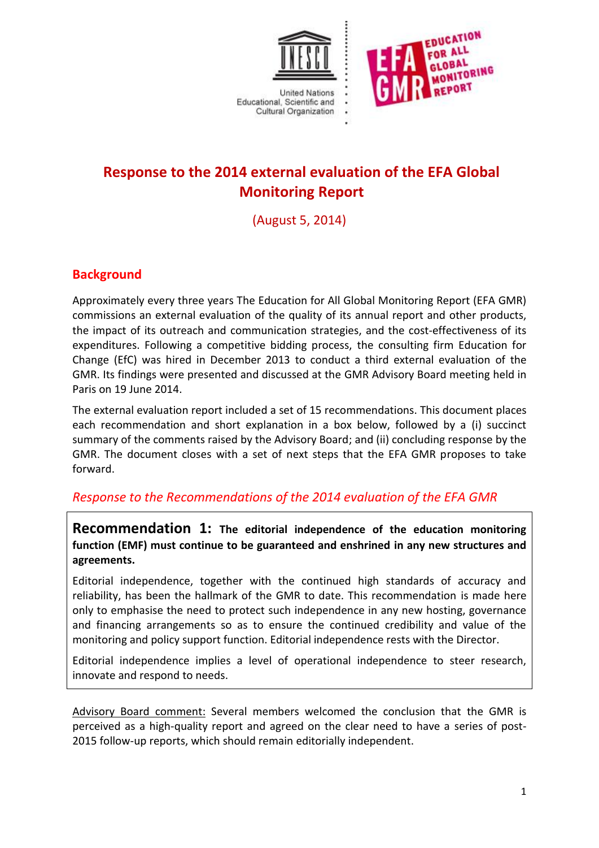



# **Response to the 2014 external evaluation of the EFA Global Monitoring Report**

(August 5, 2014)

## **Background**

Approximately every three years The Education for All Global Monitoring Report (EFA GMR) commissions an external evaluation of the quality of its annual report and other products, the impact of its outreach and communication strategies, and the cost-effectiveness of its expenditures. Following a competitive bidding process, the consulting firm Education for Change (EfC) was hired in December 2013 to conduct a third external evaluation of the GMR. Its findings were presented and discussed at the GMR Advisory Board meeting held in Paris on 19 June 2014.

The external evaluation report included a set of 15 recommendations. This document places each recommendation and short explanation in a box below, followed by a (i) succinct summary of the comments raised by the Advisory Board; and (ii) concluding response by the GMR. The document closes with a set of next steps that the EFA GMR proposes to take forward.

### *Response to the Recommendations of the 2014 evaluation of the EFA GMR*

**Recommendation 1: The editorial independence of the education monitoring function (EMF) must continue to be guaranteed and enshrined in any new structures and agreements.**

Editorial independence, together with the continued high standards of accuracy and reliability, has been the hallmark of the GMR to date. This recommendation is made here only to emphasise the need to protect such independence in any new hosting, governance and financing arrangements so as to ensure the continued credibility and value of the monitoring and policy support function. Editorial independence rests with the Director.

Editorial independence implies a level of operational independence to steer research, innovate and respond to needs.

Advisory Board comment: Several members welcomed the conclusion that the GMR is perceived as a high-quality report and agreed on the clear need to have a series of post-2015 follow-up reports, which should remain editorially independent.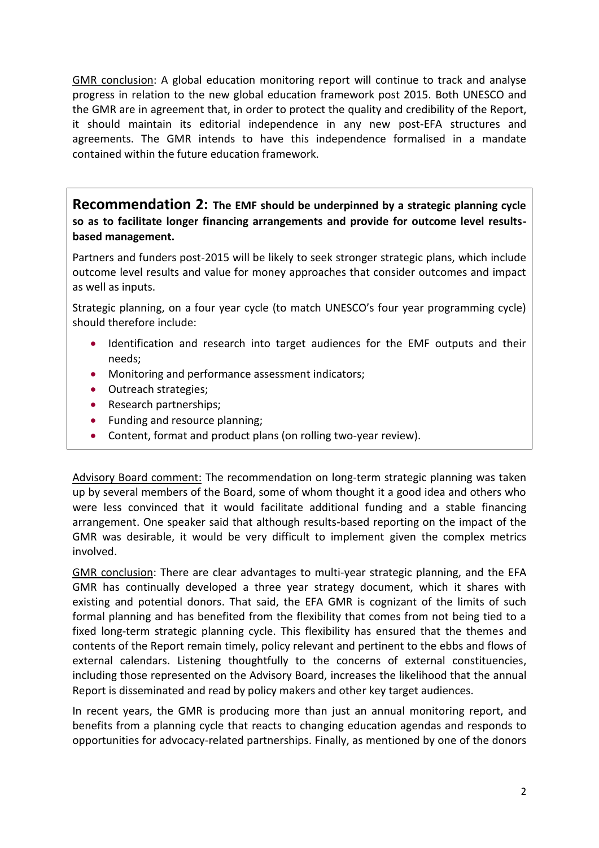GMR conclusion: A global education monitoring report will continue to track and analyse progress in relation to the new global education framework post 2015. Both UNESCO and the GMR are in agreement that, in order to protect the quality and credibility of the Report, it should maintain its editorial independence in any new post-EFA structures and agreements. The GMR intends to have this independence formalised in a mandate contained within the future education framework.

**Recommendation 2: The EMF should be underpinned by a strategic planning cycle so as to facilitate longer financing arrangements and provide for outcome level resultsbased management.**

Partners and funders post-2015 will be likely to seek stronger strategic plans, which include outcome level results and value for money approaches that consider outcomes and impact as well as inputs.

Strategic planning, on a four year cycle (to match UNESCO's four year programming cycle) should therefore include:

- Identification and research into target audiences for the EMF outputs and their needs;
- Monitoring and performance assessment indicators;
- Outreach strategies;
- Research partnerships;
- Funding and resource planning;
- Content, format and product plans (on rolling two-year review).

Advisory Board comment: The recommendation on long-term strategic planning was taken up by several members of the Board, some of whom thought it a good idea and others who were less convinced that it would facilitate additional funding and a stable financing arrangement. One speaker said that although results-based reporting on the impact of the GMR was desirable, it would be very difficult to implement given the complex metrics involved.

GMR conclusion: There are clear advantages to multi-year strategic planning, and the EFA GMR has continually developed a three year strategy document, which it shares with existing and potential donors. That said, the EFA GMR is cognizant of the limits of such formal planning and has benefited from the flexibility that comes from not being tied to a fixed long-term strategic planning cycle. This flexibility has ensured that the themes and contents of the Report remain timely, policy relevant and pertinent to the ebbs and flows of external calendars. Listening thoughtfully to the concerns of external constituencies, including those represented on the Advisory Board, increases the likelihood that the annual Report is disseminated and read by policy makers and other key target audiences.

In recent years, the GMR is producing more than just an annual monitoring report, and benefits from a planning cycle that reacts to changing education agendas and responds to opportunities for advocacy-related partnerships. Finally, as mentioned by one of the donors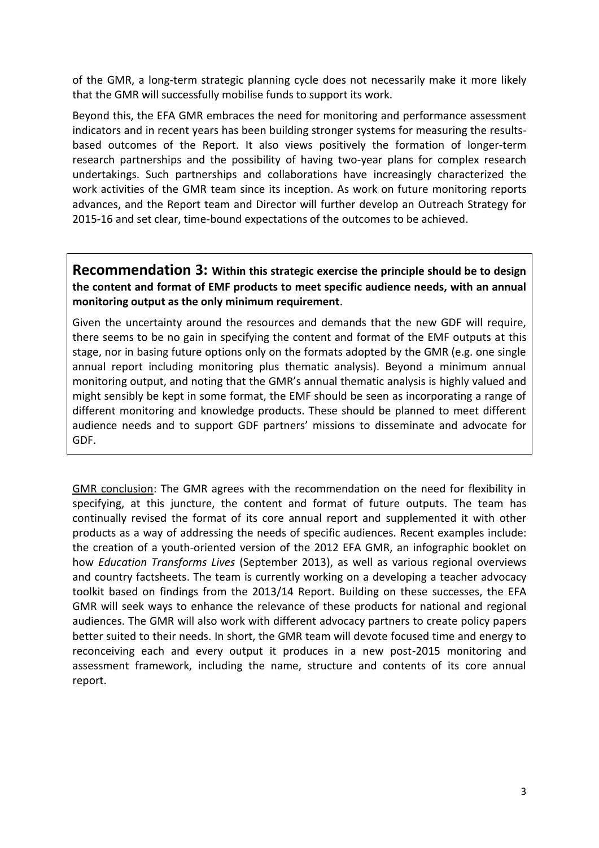of the GMR, a long-term strategic planning cycle does not necessarily make it more likely that the GMR will successfully mobilise funds to support its work.

Beyond this, the EFA GMR embraces the need for monitoring and performance assessment indicators and in recent years has been building stronger systems for measuring the resultsbased outcomes of the Report. It also views positively the formation of longer-term research partnerships and the possibility of having two-year plans for complex research undertakings. Such partnerships and collaborations have increasingly characterized the work activities of the GMR team since its inception. As work on future monitoring reports advances, and the Report team and Director will further develop an Outreach Strategy for 2015-16 and set clear, time-bound expectations of the outcomes to be achieved.

**Recommendation 3: Within this strategic exercise the principle should be to design the content and format of EMF products to meet specific audience needs, with an annual monitoring output as the only minimum requirement**.

Given the uncertainty around the resources and demands that the new GDF will require, there seems to be no gain in specifying the content and format of the EMF outputs at this stage, nor in basing future options only on the formats adopted by the GMR (e.g. one single annual report including monitoring plus thematic analysis). Beyond a minimum annual monitoring output, and noting that the GMR's annual thematic analysis is highly valued and might sensibly be kept in some format, the EMF should be seen as incorporating a range of different monitoring and knowledge products. These should be planned to meet different audience needs and to support GDF partners' missions to disseminate and advocate for GDF.

GMR conclusion: The GMR agrees with the recommendation on the need for flexibility in specifying, at this juncture, the content and format of future outputs. The team has continually revised the format of its core annual report and supplemented it with other products as a way of addressing the needs of specific audiences. Recent examples include: the creation of a youth-oriented version of the 2012 EFA GMR, an infographic booklet on how *Education Transforms Lives* (September 2013), as well as various regional overviews and country factsheets. The team is currently working on a developing a teacher advocacy toolkit based on findings from the 2013/14 Report. Building on these successes, the EFA GMR will seek ways to enhance the relevance of these products for national and regional audiences. The GMR will also work with different advocacy partners to create policy papers better suited to their needs. In short, the GMR team will devote focused time and energy to reconceiving each and every output it produces in a new post-2015 monitoring and assessment framework, including the name, structure and contents of its core annual report.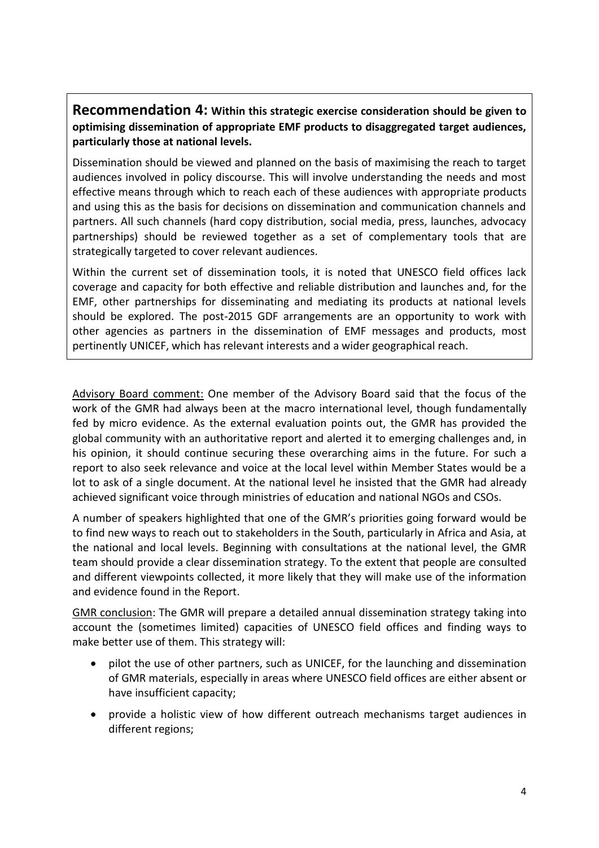#### **Recommendation 4: Within this strategic exercise consideration should be given to optimising dissemination of appropriate EMF products to disaggregated target audiences, particularly those at national levels.**

Dissemination should be viewed and planned on the basis of maximising the reach to target audiences involved in policy discourse. This will involve understanding the needs and most effective means through which to reach each of these audiences with appropriate products and using this as the basis for decisions on dissemination and communication channels and partners. All such channels (hard copy distribution, social media, press, launches, advocacy partnerships) should be reviewed together as a set of complementary tools that are strategically targeted to cover relevant audiences.

Within the current set of dissemination tools, it is noted that UNESCO field offices lack coverage and capacity for both effective and reliable distribution and launches and, for the EMF, other partnerships for disseminating and mediating its products at national levels should be explored. The post-2015 GDF arrangements are an opportunity to work with other agencies as partners in the dissemination of EMF messages and products, most pertinently UNICEF, which has relevant interests and a wider geographical reach.

Advisory Board comment: One member of the Advisory Board said that the focus of the work of the GMR had always been at the macro international level, though fundamentally fed by micro evidence. As the external evaluation points out, the GMR has provided the global community with an authoritative report and alerted it to emerging challenges and, in his opinion, it should continue securing these overarching aims in the future. For such a report to also seek relevance and voice at the local level within Member States would be a lot to ask of a single document. At the national level he insisted that the GMR had already achieved significant voice through ministries of education and national NGOs and CSOs.

A number of speakers highlighted that one of the GMR's priorities going forward would be to find new ways to reach out to stakeholders in the South, particularly in Africa and Asia, at the national and local levels. Beginning with consultations at the national level, the GMR team should provide a clear dissemination strategy. To the extent that people are consulted and different viewpoints collected, it more likely that they will make use of the information and evidence found in the Report.

GMR conclusion: The GMR will prepare a detailed annual dissemination strategy taking into account the (sometimes limited) capacities of UNESCO field offices and finding ways to make better use of them. This strategy will:

- pilot the use of other partners, such as UNICEF, for the launching and dissemination of GMR materials, especially in areas where UNESCO field offices are either absent or have insufficient capacity;
- provide a holistic view of how different outreach mechanisms target audiences in different regions;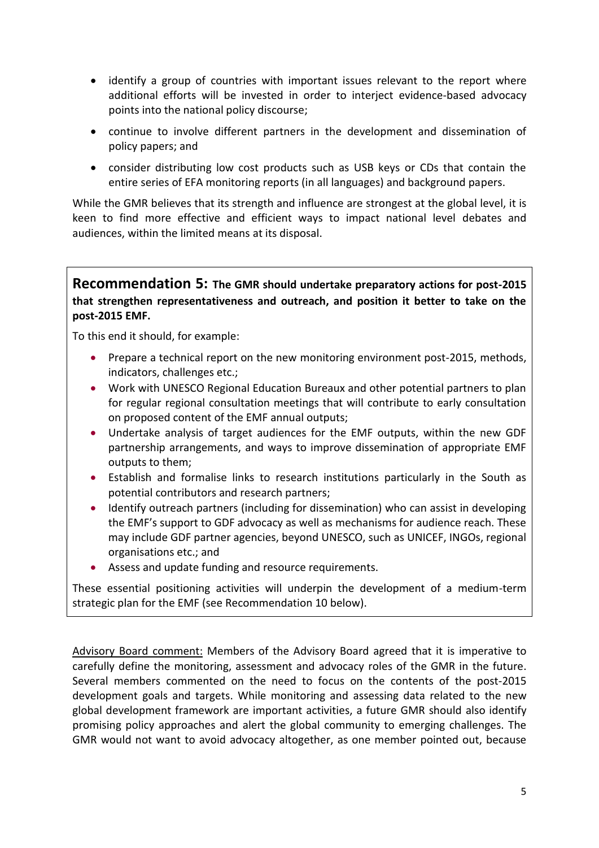- identify a group of countries with important issues relevant to the report where additional efforts will be invested in order to interject evidence-based advocacy points into the national policy discourse;
- continue to involve different partners in the development and dissemination of policy papers; and
- consider distributing low cost products such as USB keys or CDs that contain the entire series of EFA monitoring reports (in all languages) and background papers.

While the GMR believes that its strength and influence are strongest at the global level, it is keen to find more effective and efficient ways to impact national level debates and audiences, within the limited means at its disposal.

**Recommendation 5: The GMR should undertake preparatory actions for post-2015 that strengthen representativeness and outreach, and position it better to take on the post-2015 EMF.** 

To this end it should, for example:

- Prepare a technical report on the new monitoring environment post-2015, methods, indicators, challenges etc.;
- Work with UNESCO Regional Education Bureaux and other potential partners to plan for regular regional consultation meetings that will contribute to early consultation on proposed content of the EMF annual outputs;
- Undertake analysis of target audiences for the EMF outputs, within the new GDF partnership arrangements, and ways to improve dissemination of appropriate EMF outputs to them;
- Establish and formalise links to research institutions particularly in the South as potential contributors and research partners;
- Identify outreach partners (including for dissemination) who can assist in developing the EMF's support to GDF advocacy as well as mechanisms for audience reach. These may include GDF partner agencies, beyond UNESCO, such as UNICEF, INGOs, regional organisations etc.; and
- Assess and update funding and resource requirements.

These essential positioning activities will underpin the development of a medium-term strategic plan for the EMF (see Recommendation 10 below).

Advisory Board comment: Members of the Advisory Board agreed that it is imperative to carefully define the monitoring, assessment and advocacy roles of the GMR in the future. Several members commented on the need to focus on the contents of the post-2015 development goals and targets. While monitoring and assessing data related to the new global development framework are important activities, a future GMR should also identify promising policy approaches and alert the global community to emerging challenges. The GMR would not want to avoid advocacy altogether, as one member pointed out, because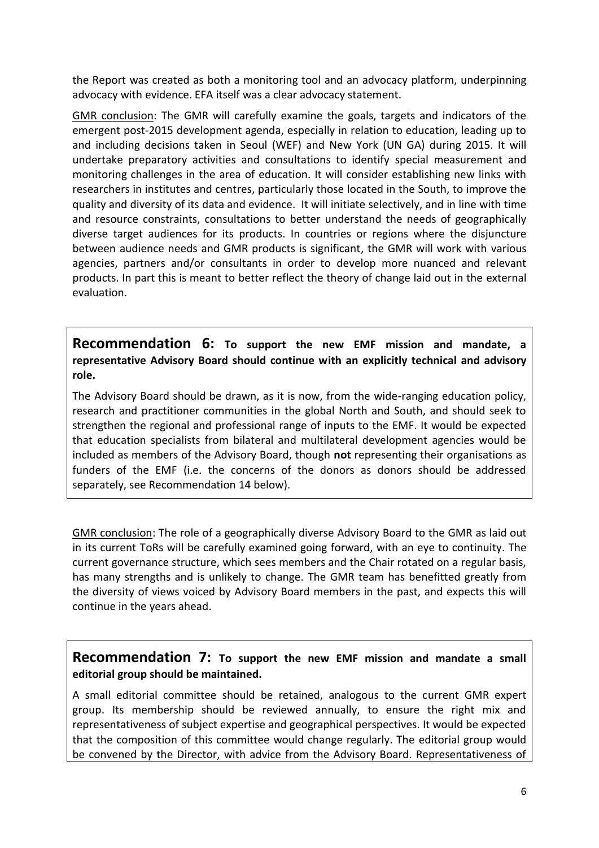the Report was created as both a monitoring tool and an advocacy platform, underpinning advocacy with evidence. EFA itself was a clear advocacy statement.

GMR conclusion: The GMR will carefully examine the goals, targets and indicators of the emergent post-2015 development agenda, especially in relation to education, leading up to and including decisions taken in Seoul (WEF) and New York (UN GA) during 2015. It will undertake preparatory activities and consultations to identify special measurement and monitoring challenges in the area of education. It will consider establishing new links with researchers in institutes and centres, particularly those located in the South, to improve the quality and diversity of its data and evidence. It will initiate selectively, and in line with time and resource constraints, consultations to better understand the needs of geographically diverse target audiences for its products. In countries or regions where the disjuncture between audience needs and GMR products is significant, the GMR will work with various agencies, partners and/or consultants in order to develop more nuanced and relevant products. In part this is meant to better reflect the theory of change laid out in the external evaluation.

**Recommendation 6: To support the new EMF mission and mandate, a representative Advisory Board should continue with an explicitly technical and advisory role.**

The Advisory Board should be drawn, as it is now, from the wide-ranging education policy, research and practitioner communities in the global North and South, and should seek to strengthen the regional and professional range of inputs to the EMF. It would be expected that education specialists from bilateral and multilateral development agencies would be included as members of the Advisory Board, though **not** representing their organisations as funders of the EMF (i.e. the concerns of the donors as donors should be addressed separately, see Recommendation 14 below).

GMR conclusion: The role of a geographically diverse Advisory Board to the GMR as laid out in its current ToRs will be carefully examined going forward, with an eye to continuity. The current governance structure, which sees members and the Chair rotated on a regular basis, has many strengths and is unlikely to change. The GMR team has benefitted greatly from the diversity of views voiced by Advisory Board members in the past, and expects this will continue in the years ahead.

#### **Recommendation 7: To support the new EMF mission and mandate a small editorial group should be maintained.**

A small editorial committee should be retained, analogous to the current GMR expert group. Its membership should be reviewed annually, to ensure the right mix and representativeness of subject expertise and geographical perspectives. It would be expected that the composition of this committee would change regularly. The editorial group would be convened by the Director, with advice from the Advisory Board. Representativeness of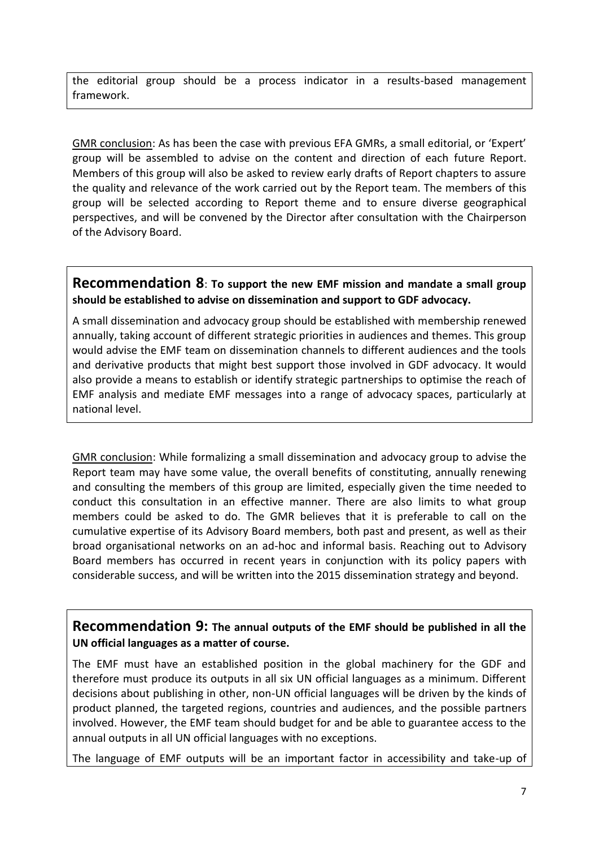the editorial group should be a process indicator in a results-based management framework.

GMR conclusion: As has been the case with previous EFA GMRs, a small editorial, or 'Expert' group will be assembled to advise on the content and direction of each future Report. Members of this group will also be asked to review early drafts of Report chapters to assure the quality and relevance of the work carried out by the Report team. The members of this group will be selected according to Report theme and to ensure diverse geographical perspectives, and will be convened by the Director after consultation with the Chairperson of the Advisory Board.

#### **Recommendation 8**: **To support the new EMF mission and mandate a small group should be established to advise on dissemination and support to GDF advocacy.**

A small dissemination and advocacy group should be established with membership renewed annually, taking account of different strategic priorities in audiences and themes. This group would advise the EMF team on dissemination channels to different audiences and the tools and derivative products that might best support those involved in GDF advocacy. It would also provide a means to establish or identify strategic partnerships to optimise the reach of EMF analysis and mediate EMF messages into a range of advocacy spaces, particularly at national level.

GMR conclusion: While formalizing a small dissemination and advocacy group to advise the Report team may have some value, the overall benefits of constituting, annually renewing and consulting the members of this group are limited, especially given the time needed to conduct this consultation in an effective manner. There are also limits to what group members could be asked to do. The GMR believes that it is preferable to call on the cumulative expertise of its Advisory Board members, both past and present, as well as their broad organisational networks on an ad-hoc and informal basis. Reaching out to Advisory Board members has occurred in recent years in conjunction with its policy papers with considerable success, and will be written into the 2015 dissemination strategy and beyond.

#### **Recommendation 9: The annual outputs of the EMF should be published in all the UN official languages as a matter of course.**

The EMF must have an established position in the global machinery for the GDF and therefore must produce its outputs in all six UN official languages as a minimum. Different decisions about publishing in other, non-UN official languages will be driven by the kinds of product planned, the targeted regions, countries and audiences, and the possible partners involved. However, the EMF team should budget for and be able to guarantee access to the annual outputs in all UN official languages with no exceptions.

The language of EMF outputs will be an important factor in accessibility and take-up of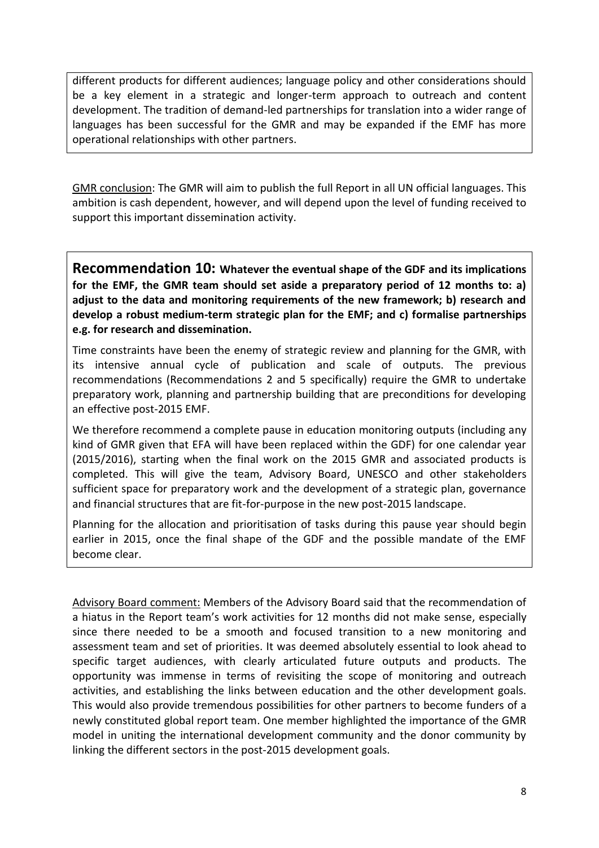different products for different audiences; language policy and other considerations should be a key element in a strategic and longer-term approach to outreach and content development. The tradition of demand-led partnerships for translation into a wider range of languages has been successful for the GMR and may be expanded if the EMF has more operational relationships with other partners.

GMR conclusion: The GMR will aim to publish the full Report in all UN official languages. This ambition is cash dependent, however, and will depend upon the level of funding received to support this important dissemination activity.

**Recommendation 10: Whatever the eventual shape of the GDF and its implications for the EMF, the GMR team should set aside a preparatory period of 12 months to: a) adjust to the data and monitoring requirements of the new framework; b) research and develop a robust medium-term strategic plan for the EMF; and c) formalise partnerships e.g. for research and dissemination.**

Time constraints have been the enemy of strategic review and planning for the GMR, with its intensive annual cycle of publication and scale of outputs. The previous recommendations (Recommendations 2 and 5 specifically) require the GMR to undertake preparatory work, planning and partnership building that are preconditions for developing an effective post-2015 EMF.

We therefore recommend a complete pause in education monitoring outputs (including any kind of GMR given that EFA will have been replaced within the GDF) for one calendar year (2015/2016), starting when the final work on the 2015 GMR and associated products is completed. This will give the team, Advisory Board, UNESCO and other stakeholders sufficient space for preparatory work and the development of a strategic plan, governance and financial structures that are fit-for-purpose in the new post-2015 landscape.

Planning for the allocation and prioritisation of tasks during this pause year should begin earlier in 2015, once the final shape of the GDF and the possible mandate of the EMF become clear.

Advisory Board comment: Members of the Advisory Board said that the recommendation of a hiatus in the Report team's work activities for 12 months did not make sense, especially since there needed to be a smooth and focused transition to a new monitoring and assessment team and set of priorities. It was deemed absolutely essential to look ahead to specific target audiences, with clearly articulated future outputs and products. The opportunity was immense in terms of revisiting the scope of monitoring and outreach activities, and establishing the links between education and the other development goals. This would also provide tremendous possibilities for other partners to become funders of a newly constituted global report team. One member highlighted the importance of the GMR model in uniting the international development community and the donor community by linking the different sectors in the post-2015 development goals.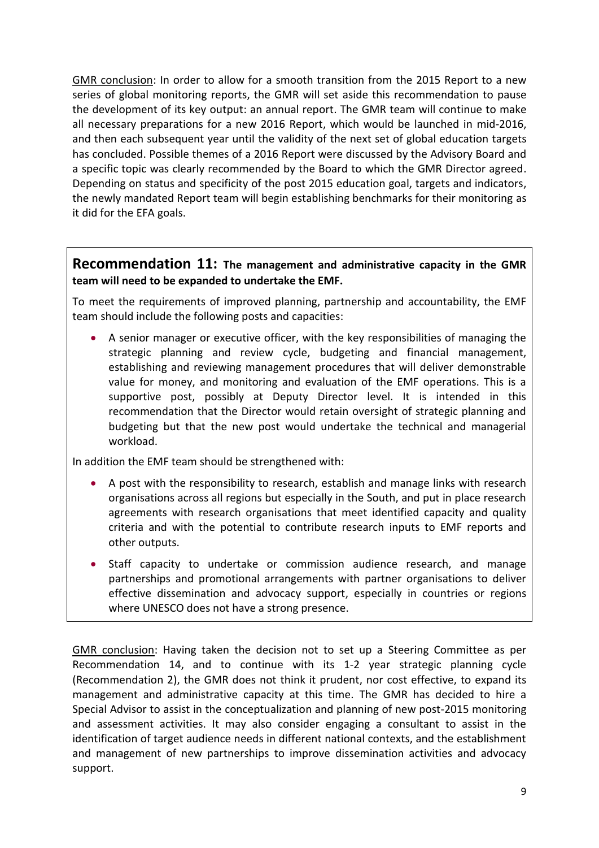GMR conclusion: In order to allow for a smooth transition from the 2015 Report to a new series of global monitoring reports, the GMR will set aside this recommendation to pause the development of its key output: an annual report. The GMR team will continue to make all necessary preparations for a new 2016 Report, which would be launched in mid-2016, and then each subsequent year until the validity of the next set of global education targets has concluded. Possible themes of a 2016 Report were discussed by the Advisory Board and a specific topic was clearly recommended by the Board to which the GMR Director agreed. Depending on status and specificity of the post 2015 education goal, targets and indicators, the newly mandated Report team will begin establishing benchmarks for their monitoring as it did for the EFA goals.

#### **Recommendation 11: The management and administrative capacity in the GMR team will need to be expanded to undertake the EMF.**

To meet the requirements of improved planning, partnership and accountability, the EMF team should include the following posts and capacities:

 A senior manager or executive officer, with the key responsibilities of managing the strategic planning and review cycle, budgeting and financial management, establishing and reviewing management procedures that will deliver demonstrable value for money, and monitoring and evaluation of the EMF operations. This is a supportive post, possibly at Deputy Director level. It is intended in this recommendation that the Director would retain oversight of strategic planning and budgeting but that the new post would undertake the technical and managerial workload.

In addition the EMF team should be strengthened with:

- A post with the responsibility to research, establish and manage links with research organisations across all regions but especially in the South, and put in place research agreements with research organisations that meet identified capacity and quality criteria and with the potential to contribute research inputs to EMF reports and other outputs.
- Staff capacity to undertake or commission audience research, and manage partnerships and promotional arrangements with partner organisations to deliver effective dissemination and advocacy support, especially in countries or regions where UNESCO does not have a strong presence.

GMR conclusion: Having taken the decision not to set up a Steering Committee as per Recommendation 14, and to continue with its 1-2 year strategic planning cycle (Recommendation 2), the GMR does not think it prudent, nor cost effective, to expand its management and administrative capacity at this time. The GMR has decided to hire a Special Advisor to assist in the conceptualization and planning of new post-2015 monitoring and assessment activities. It may also consider engaging a consultant to assist in the identification of target audience needs in different national contexts, and the establishment and management of new partnerships to improve dissemination activities and advocacy support.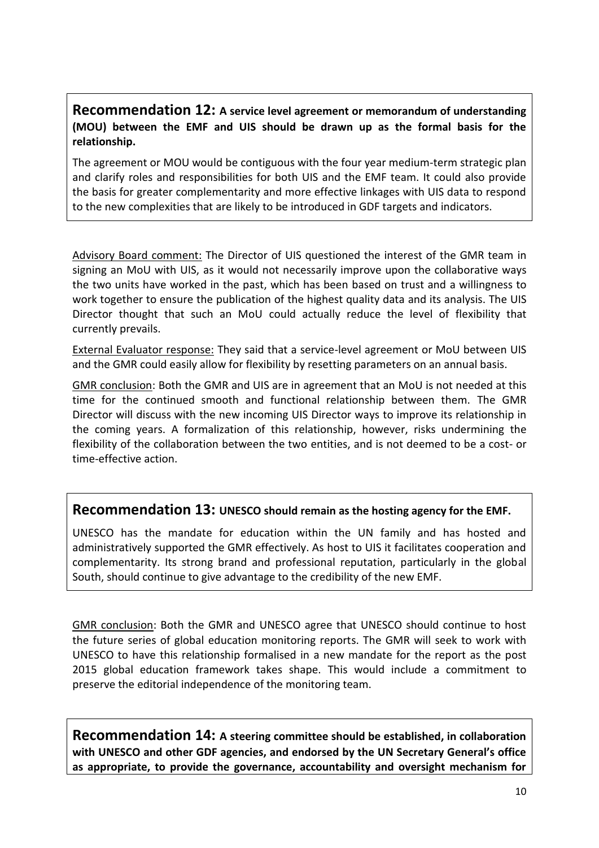#### **Recommendation 12: A service level agreement or memorandum of understanding (MOU) between the EMF and UIS should be drawn up as the formal basis for the relationship.**

The agreement or MOU would be contiguous with the four year medium-term strategic plan and clarify roles and responsibilities for both UIS and the EMF team. It could also provide the basis for greater complementarity and more effective linkages with UIS data to respond to the new complexities that are likely to be introduced in GDF targets and indicators.

Advisory Board comment: The Director of UIS questioned the interest of the GMR team in signing an MoU with UIS, as it would not necessarily improve upon the collaborative ways the two units have worked in the past, which has been based on trust and a willingness to work together to ensure the publication of the highest quality data and its analysis. The UIS Director thought that such an MoU could actually reduce the level of flexibility that currently prevails.

External Evaluator response: They said that a service-level agreement or MoU between UIS and the GMR could easily allow for flexibility by resetting parameters on an annual basis.

GMR conclusion: Both the GMR and UIS are in agreement that an MoU is not needed at this time for the continued smooth and functional relationship between them. The GMR Director will discuss with the new incoming UIS Director ways to improve its relationship in the coming years. A formalization of this relationship, however, risks undermining the flexibility of the collaboration between the two entities, and is not deemed to be a cost- or time-effective action.

#### **Recommendation 13: UNESCO should remain as the hosting agency for the EMF.**

UNESCO has the mandate for education within the UN family and has hosted and administratively supported the GMR effectively. As host to UIS it facilitates cooperation and complementarity. Its strong brand and professional reputation, particularly in the global South, should continue to give advantage to the credibility of the new EMF.

GMR conclusion: Both the GMR and UNESCO agree that UNESCO should continue to host the future series of global education monitoring reports. The GMR will seek to work with UNESCO to have this relationship formalised in a new mandate for the report as the post 2015 global education framework takes shape. This would include a commitment to preserve the editorial independence of the monitoring team.

**Recommendation 14: A steering committee should be established, in collaboration with UNESCO and other GDF agencies, and endorsed by the UN Secretary General's office as appropriate, to provide the governance, accountability and oversight mechanism for**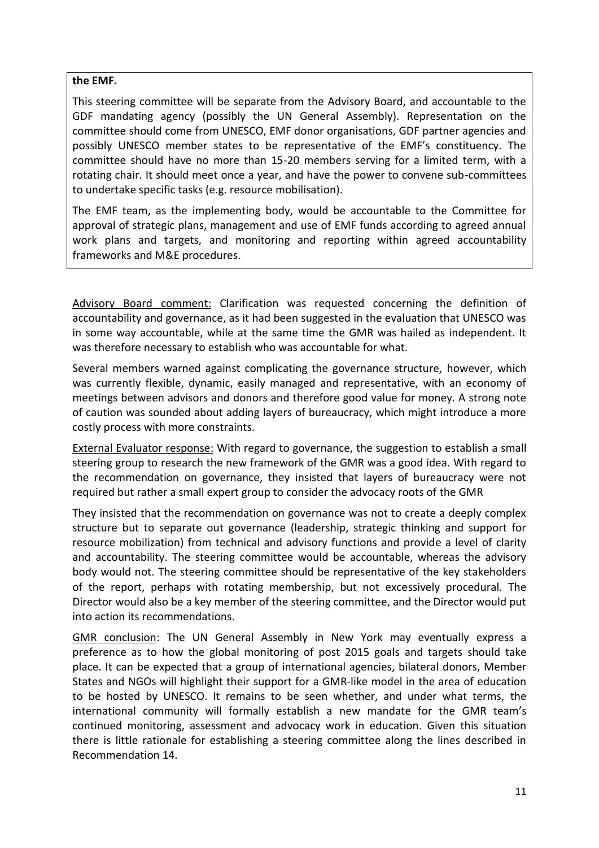#### **the EMF.**

This steering committee will be separate from the Advisory Board, and accountable to the GDF mandating agency (possibly the UN General Assembly). Representation on the committee should come from UNESCO, EMF donor organisations, GDF partner agencies and possibly UNESCO member states to be representative of the EMF's constituency. The committee should have no more than 15-20 members serving for a limited term, with a rotating chair. It should meet once a year, and have the power to convene sub-committees to undertake specific tasks (e.g. resource mobilisation).

The EMF team, as the implementing body, would be accountable to the Committee for approval of strategic plans, management and use of EMF funds according to agreed annual work plans and targets, and monitoring and reporting within agreed accountability frameworks and M&E procedures.

Advisory Board comment: Clarification was requested concerning the definition of accountability and governance, as it had been suggested in the evaluation that UNESCO was in some way accountable, while at the same time the GMR was hailed as independent. It was therefore necessary to establish who was accountable for what.

Several members warned against complicating the governance structure, however, which was currently flexible, dynamic, easily managed and representative, with an economy of meetings between advisors and donors and therefore good value for money. A strong note of caution was sounded about adding layers of bureaucracy, which might introduce a more costly process with more constraints.

External Evaluator response: With regard to governance, the suggestion to establish a small steering group to research the new framework of the GMR was a good idea. With regard to the recommendation on governance, they insisted that layers of bureaucracy were not required but rather a small expert group to consider the advocacy roots of the GMR

They insisted that the recommendation on governance was not to create a deeply complex structure but to separate out governance (leadership, strategic thinking and support for resource mobilization) from technical and advisory functions and provide a level of clarity and accountability. The steering committee would be accountable, whereas the advisory body would not. The steering committee should be representative of the key stakeholders of the report, perhaps with rotating membership, but not excessively procedural. The Director would also be a key member of the steering committee, and the Director would put into action its recommendations.

GMR conclusion: The UN General Assembly in New York may eventually express a preference as to how the global monitoring of post 2015 goals and targets should take place. It can be expected that a group of international agencies, bilateral donors, Member States and NGOs will highlight their support for a GMR-like model in the area of education to be hosted by UNESCO. It remains to be seen whether, and under what terms, the international community will formally establish a new mandate for the GMR team's continued monitoring, assessment and advocacy work in education. Given this situation there is little rationale for establishing a steering committee along the lines described in Recommendation 14.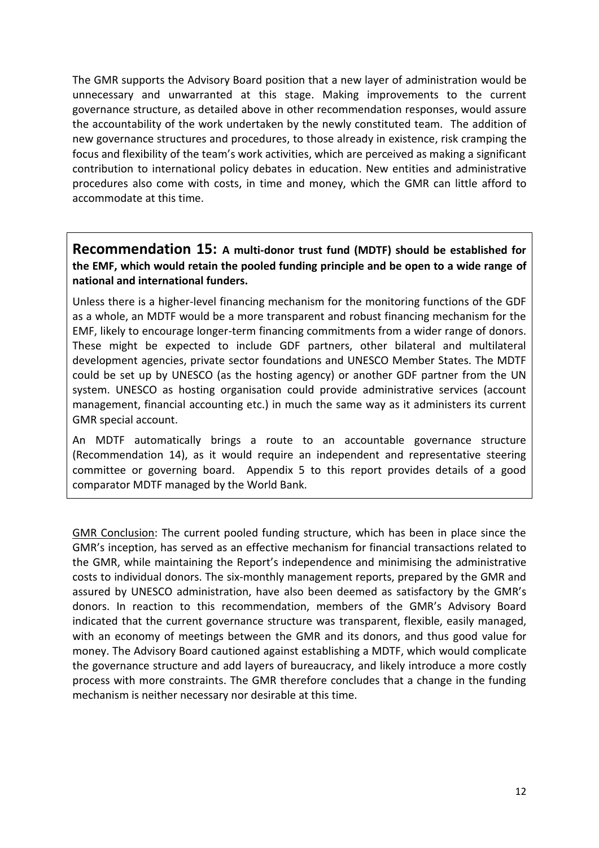The GMR supports the Advisory Board position that a new layer of administration would be unnecessary and unwarranted at this stage. Making improvements to the current governance structure, as detailed above in other recommendation responses, would assure the accountability of the work undertaken by the newly constituted team. The addition of new governance structures and procedures, to those already in existence, risk cramping the focus and flexibility of the team's work activities, which are perceived as making a significant contribution to international policy debates in education. New entities and administrative procedures also come with costs, in time and money, which the GMR can little afford to accommodate at this time.

#### **Recommendation 15: A multi-donor trust fund (MDTF) should be established for the EMF, which would retain the pooled funding principle and be open to a wide range of national and international funders.**

Unless there is a higher-level financing mechanism for the monitoring functions of the GDF as a whole, an MDTF would be a more transparent and robust financing mechanism for the EMF, likely to encourage longer-term financing commitments from a wider range of donors. These might be expected to include GDF partners, other bilateral and multilateral development agencies, private sector foundations and UNESCO Member States. The MDTF could be set up by UNESCO (as the hosting agency) or another GDF partner from the UN system. UNESCO as hosting organisation could provide administrative services (account management, financial accounting etc.) in much the same way as it administers its current GMR special account.

An MDTF automatically brings a route to an accountable governance structure (Recommendation 14), as it would require an independent and representative steering committee or governing board. Appendix 5 to this report provides details of a good comparator MDTF managed by the World Bank.

GMR Conclusion: The current pooled funding structure, which has been in place since the GMR's inception, has served as an effective mechanism for financial transactions related to the GMR, while maintaining the Report's independence and minimising the administrative costs to individual donors. The six-monthly management reports, prepared by the GMR and assured by UNESCO administration, have also been deemed as satisfactory by the GMR's donors. In reaction to this recommendation, members of the GMR's Advisory Board indicated that the current governance structure was transparent, flexible, easily managed, with an economy of meetings between the GMR and its donors, and thus good value for money. The Advisory Board cautioned against establishing a MDTF, which would complicate the governance structure and add layers of bureaucracy, and likely introduce a more costly process with more constraints. The GMR therefore concludes that a change in the funding mechanism is neither necessary nor desirable at this time.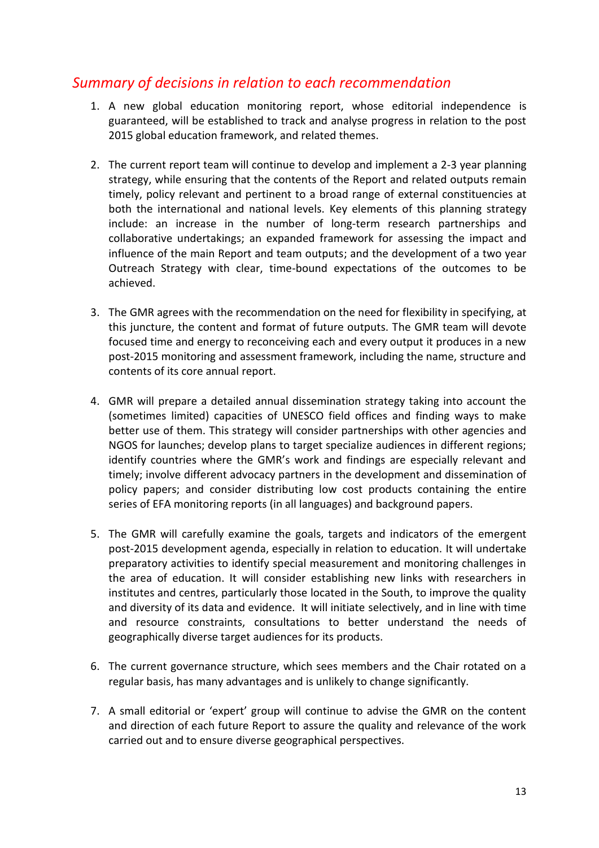# *Summary of decisions in relation to each recommendation*

- 1. A new global education monitoring report, whose editorial independence is guaranteed, will be established to track and analyse progress in relation to the post 2015 global education framework, and related themes.
- 2. The current report team will continue to develop and implement a 2-3 year planning strategy, while ensuring that the contents of the Report and related outputs remain timely, policy relevant and pertinent to a broad range of external constituencies at both the international and national levels. Key elements of this planning strategy include: an increase in the number of long-term research partnerships and collaborative undertakings; an expanded framework for assessing the impact and influence of the main Report and team outputs; and the development of a two year Outreach Strategy with clear, time-bound expectations of the outcomes to be achieved.
- 3. The GMR agrees with the recommendation on the need for flexibility in specifying, at this juncture, the content and format of future outputs. The GMR team will devote focused time and energy to reconceiving each and every output it produces in a new post-2015 monitoring and assessment framework, including the name, structure and contents of its core annual report.
- 4. GMR will prepare a detailed annual dissemination strategy taking into account the (sometimes limited) capacities of UNESCO field offices and finding ways to make better use of them. This strategy will consider partnerships with other agencies and NGOS for launches; develop plans to target specialize audiences in different regions; identify countries where the GMR's work and findings are especially relevant and timely; involve different advocacy partners in the development and dissemination of policy papers; and consider distributing low cost products containing the entire series of EFA monitoring reports (in all languages) and background papers.
- 5. The GMR will carefully examine the goals, targets and indicators of the emergent post-2015 development agenda, especially in relation to education. It will undertake preparatory activities to identify special measurement and monitoring challenges in the area of education. It will consider establishing new links with researchers in institutes and centres, particularly those located in the South, to improve the quality and diversity of its data and evidence. It will initiate selectively, and in line with time and resource constraints, consultations to better understand the needs of geographically diverse target audiences for its products.
- 6. The current governance structure, which sees members and the Chair rotated on a regular basis, has many advantages and is unlikely to change significantly.
- 7. A small editorial or 'expert' group will continue to advise the GMR on the content and direction of each future Report to assure the quality and relevance of the work carried out and to ensure diverse geographical perspectives.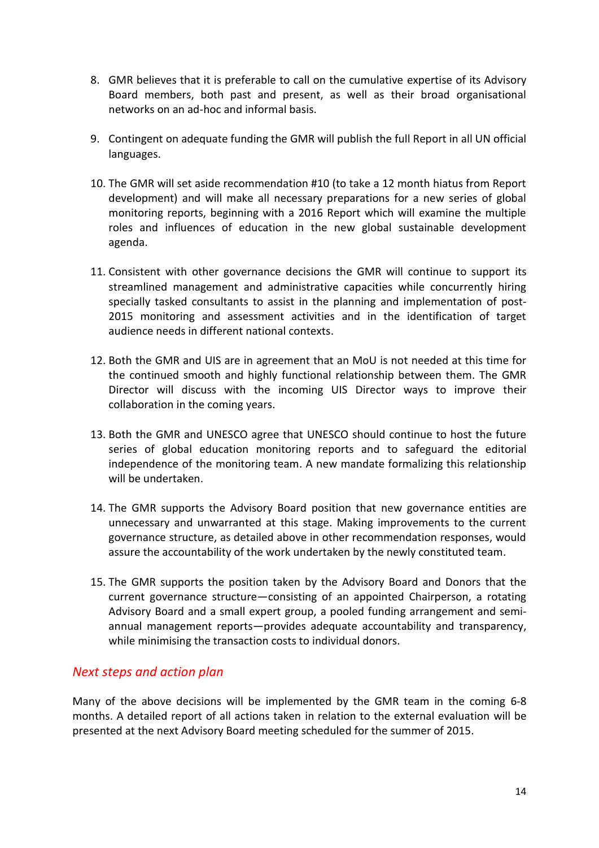- 8. GMR believes that it is preferable to call on the cumulative expertise of its Advisory Board members, both past and present, as well as their broad organisational networks on an ad-hoc and informal basis.
- 9. Contingent on adequate funding the GMR will publish the full Report in all UN official languages.
- 10. The GMR will set aside recommendation #10 (to take a 12 month hiatus from Report development) and will make all necessary preparations for a new series of global monitoring reports, beginning with a 2016 Report which will examine the multiple roles and influences of education in the new global sustainable development agenda.
- 11. Consistent with other governance decisions the GMR will continue to support its streamlined management and administrative capacities while concurrently hiring specially tasked consultants to assist in the planning and implementation of post-2015 monitoring and assessment activities and in the identification of target audience needs in different national contexts.
- 12. Both the GMR and UIS are in agreement that an MoU is not needed at this time for the continued smooth and highly functional relationship between them. The GMR Director will discuss with the incoming UIS Director ways to improve their collaboration in the coming years.
- 13. Both the GMR and UNESCO agree that UNESCO should continue to host the future series of global education monitoring reports and to safeguard the editorial independence of the monitoring team. A new mandate formalizing this relationship will be undertaken.
- 14. The GMR supports the Advisory Board position that new governance entities are unnecessary and unwarranted at this stage. Making improvements to the current governance structure, as detailed above in other recommendation responses, would assure the accountability of the work undertaken by the newly constituted team.
- 15. The GMR supports the position taken by the Advisory Board and Donors that the current governance structure—consisting of an appointed Chairperson, a rotating Advisory Board and a small expert group, a pooled funding arrangement and semiannual management reports—provides adequate accountability and transparency, while minimising the transaction costs to individual donors.

#### *Next steps and action plan*

Many of the above decisions will be implemented by the GMR team in the coming 6-8 months. A detailed report of all actions taken in relation to the external evaluation will be presented at the next Advisory Board meeting scheduled for the summer of 2015.